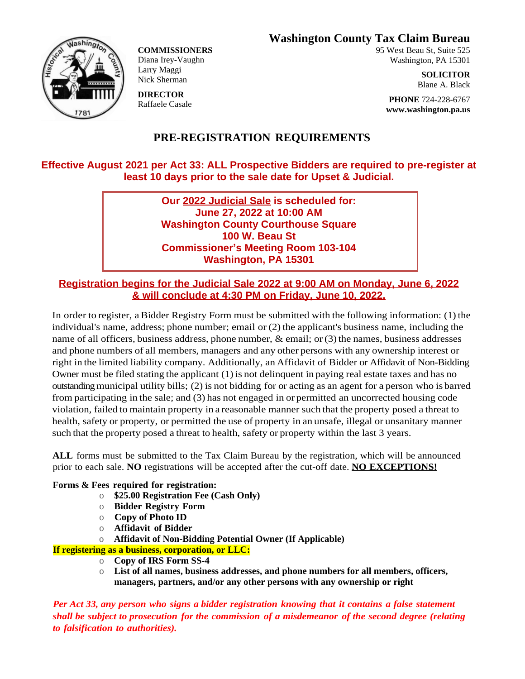**Washington County Tax Claim Bureau**



**COMMISSIONERS** Diana Irey-Vaughn Larry Maggi Nick Sherman

**DIRECTOR** Raffaele Casale 95 West Beau St, Suite 525 Washington, PA 15301

> **SOLICITOR** Blane A. Black

**PHONE** 724-228-6767 **www.washington.pa.us**

# **PRE-REGISTRATION REQUIREMENTS**

## **Effective August 2021 per Act 33: ALL Prospective Bidders are required to pre-register at least 10 days prior to the sale date for Upset & Judicial.**

**Our 2022 Judicial Sale is scheduled for: June 27, 2022 at 10:00 AM Washington County Courthouse Square 100 W. Beau St Commissioner's Meeting Room 103-104 Washington, PA 15301**

## **Registration begins for the Judicial Sale 2022 at 9:00 AM on Monday, June 6, 2022 & will conclude at 4:30 PM on Friday, June 10, 2022.**

In order to register, aBidder Registry Form must be submitted with the following information: (1) the individual's name, address; phone number; email or (2) the applicant's business name, including the name of all officers, business address, phone number,  $\&$  email; or (3) the names, business addresses and phone numbers of all members, managers and any other persons with any ownership interest or right in the limited liability company. Additionally, an Affidavit of Bidder or Affidavit of Non-Bidding Owner must be filed stating the applicant (1) is not delinquent in paying real estate taxes and has no outstandingmunicipal utility bills; (2) is not bidding for or acting as an agent for a person who is barred from participating in the sale; and (3) has not engaged in or permitted an uncorrected housing code violation, failed to maintain property in a reasonable manner such that the property posed a threat to health, safety or property, or permitted the use of property in an unsafe, illegal or unsanitary manner such that the property posed a threat to health, safety or property within the last 3 years.

**ALL** forms must be submitted to the Tax Claim Bureau by the registration, which will be announced prior to each sale. **NO** registrations will be accepted after the cut-off date. **NO EXCEPTIONS!**

### **Forms & Fees required for registration:**

- o **\$25.00 Registration Fee (Cash Only)**
- o **Bidder Registry Form**
- o **Copy of Photo ID**
- o **Affidavit of Bidder**
- o **Affidavit of Non-Bidding Potential Owner (If Applicable)**
- **If registering as a business, corporation, or LLC:**
	- o **Copy of IRS Form SS-4**
	- o **List of all names, business addresses, and phone numbers for all members, officers, managers, partners, and/or any other persons with any ownership or right**

*Per Act 33, any person who signs a bidder registration knowing that it contains a false statement shall be subject to prosecution for the commission of a misdemeanor of the second degree (relating to falsification to authorities).*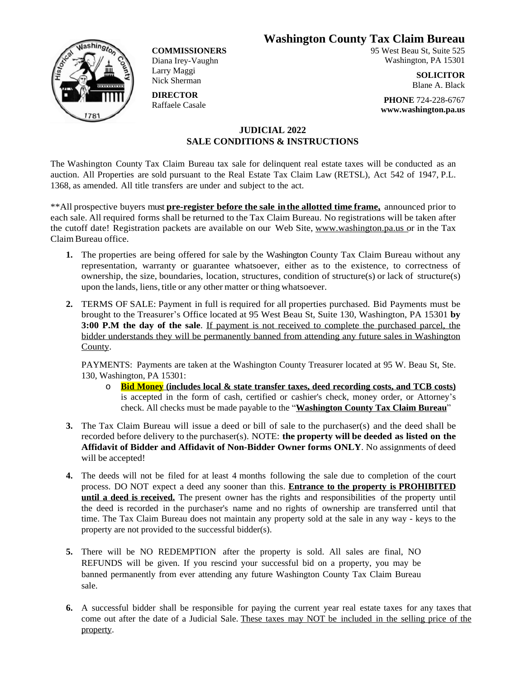**Washington County Tax Claim Bureau**



**COMMISSIONERS** Diana Irey-Vaughn Larry Maggi Nick Sherman

**DIRECTOR** Raffaele Casale 95 West Beau St, Suite 525 Washington, PA 15301

> **SOLICITOR** Blane A. Black

**PHONE** 724-228-6767 **www.washington.pa.us**

### **JUDICIAL 2022 SALE CONDITIONS & INSTRUCTIONS**

The Washington County Tax Claim Bureau tax sale for delinquent real estate taxes will be conducted as an auction. All Properties are sold pursuant to the Real Estate Tax Claim Law (RETSL), Act 542 of 1947, P.L. 1368, as amended. All title transfers are under and subject to the act.

\*\*All prospective buyers must **pre-register before the sale inthe allotted time frame,** announced prior to each sale. All required forms shall be returned to the Tax Claim Bureau. No registrations will be taken after the cutoff date! Registration packets are available on our Web Site, [www.washington.pa.us](http://www.washington.pa.us) or in the Tax Claim Bureau office.

- **1.** The properties are being offered for sale by the Washington County Tax Claim Bureau without any representation, warranty or guarantee whatsoever, either as to the existence, to correctness of ownership, the size, boundaries, location, structures, condition of structure(s) or lack of structure(s) upon the lands, liens, title or any other matter orthing whatsoever.
- **2.** TERMS OF SALE: Payment in full is required for all properties purchased. Bid Payments must be brought to the Treasurer's Office located at 95 West Beau St, Suite 130, Washington, PA 15301 **by 3:00 P.M the day of the sale**. If payment is not received to complete the purchased parcel, the bidder understands they will be permanently banned from attending any future sales in Washington County.

PAYMENTS: Payments are taken at the Washington County Treasurer located at 95 W. Beau St, Ste. 130, Washington, PA 15301:

- o **Bid Money (includes local & state transfer taxes, deed recording costs, and TCB costs)** is accepted in the form of cash, certified or cashier's check, money order, or Attorney's check. All checks must be made payable to the "**Washington County Tax Claim Bureau**"
- **3.** The Tax Claim Bureau will issue a deed or bill of sale to the purchaser(s) and the deed shall be recorded before delivery to the purchaser(s). NOTE: **the property will be deeded as listed on the Affidavit of Bidder and Affidavit of Non-Bidder Owner forms ONLY**. No assignments of deed will be accepted!
- **4.** The deeds will not be filed for at least 4 months following the sale due to completion of the court process. DO NOT expect a deed any sooner than this. **Entrance to the property is PROHIBITED until a deed is received.** The present owner has the rights and responsibilities of the property until the deed is recorded in the purchaser's name and no rights of ownership are transferred until that time. The Tax Claim Bureau does not maintain any property sold at the sale in any way - keys to the property are not provided to the successful bidder(s).
- **5.** There will be NO REDEMPTION after the property is sold. All sales are final, NO REFUNDS will be given. If you rescind your successful bid on a property, you may be banned permanently from ever attending any future Washington County Tax Claim Bureau sale.
- **6.** A successful bidder shall be responsible for paying the current year real estate taxes for any taxes that come out after the date of a Judicial Sale. These taxes may NOT be included in the selling price of the property.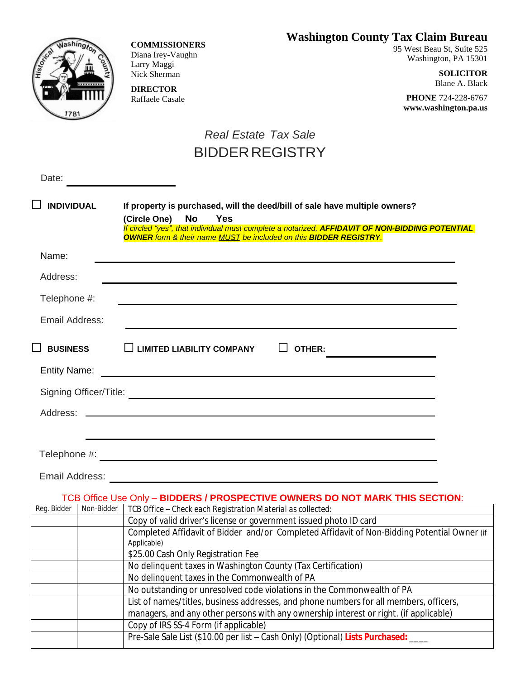# **Washington County Tax Claim Bureau**



**COMMISSIONERS** Diana Irey-Vaughn Larry Maggi Nick Sherman

**DIRECTOR** Raffaele Casale 95 West Beau St, Suite 525 Washington, PA 15301

> **SOLICITOR** Blane A. Black

**PHONE** 724-228-6767 **www.washington.pa.us**

# *Real Estate Tax Sale* BIDDERREGISTRY

| Date:               |            |                                                                                                                                                                                                                                                                                                              |
|---------------------|------------|--------------------------------------------------------------------------------------------------------------------------------------------------------------------------------------------------------------------------------------------------------------------------------------------------------------|
| <b>INDIVIDUAL</b>   |            | If property is purchased, will the deed/bill of sale have multiple owners?<br>No<br><b>Yes</b><br>(Circle One)<br>If circled "yes", that individual must complete a notarized, AFFIDAVIT OF NON-BIDDING POTENTIAL<br><b>OWNER</b> form & their name <b>MUST</b> be included on this <b>BIDDER REGISTRY</b> . |
| Name:               |            |                                                                                                                                                                                                                                                                                                              |
| Address:            |            |                                                                                                                                                                                                                                                                                                              |
| Telephone #:        |            |                                                                                                                                                                                                                                                                                                              |
| Email Address:      |            |                                                                                                                                                                                                                                                                                                              |
| <b>BUSINESS</b>     |            | <b>LIMITED LIABILITY COMPANY</b><br><b>OTHER:</b>                                                                                                                                                                                                                                                            |
| <b>Entity Name:</b> |            |                                                                                                                                                                                                                                                                                                              |
|                     |            |                                                                                                                                                                                                                                                                                                              |
| Address:            |            |                                                                                                                                                                                                                                                                                                              |
|                     |            |                                                                                                                                                                                                                                                                                                              |
|                     |            |                                                                                                                                                                                                                                                                                                              |
| Email Address:      |            |                                                                                                                                                                                                                                                                                                              |
|                     |            | TCB Office Use Only - BIDDERS / PROSPECTIVE OWNERS DO NOT MARK THIS SECTION:                                                                                                                                                                                                                                 |
| Reg. Bidder         | Non-Bidder | TCB Office - Check each Registration Material as collected:                                                                                                                                                                                                                                                  |
|                     |            | Copy of valid driver's license or government issued photo ID card                                                                                                                                                                                                                                            |
|                     |            | Completed Affidavit of Bidder and/or Completed Affidavit of Non-Bidding Potential Owner (if                                                                                                                                                                                                                  |
|                     |            | Applicable)                                                                                                                                                                                                                                                                                                  |
|                     |            | \$25.00 Cash Only Registration Fee                                                                                                                                                                                                                                                                           |
|                     |            | No delinquent taxes in Washington County (Tax Certification)<br>No delinquent taxes in the Commonwealth of PA                                                                                                                                                                                                |
|                     |            | No outstanding or unresolved code violations in the Commonwealth of PA                                                                                                                                                                                                                                       |
|                     |            | List of names/titles, business addresses, and phone numbers for all members, officers,                                                                                                                                                                                                                       |
|                     |            | managers, and any other persons with any ownership interest or right. (if applicable)                                                                                                                                                                                                                        |
|                     |            | Copy of IRS SS-4 Form (if applicable)                                                                                                                                                                                                                                                                        |
|                     |            | Pre-Sale Sale List (\$10.00 per list - Cash Only) (Optional) Lists Purchased: ____                                                                                                                                                                                                                           |
|                     |            |                                                                                                                                                                                                                                                                                                              |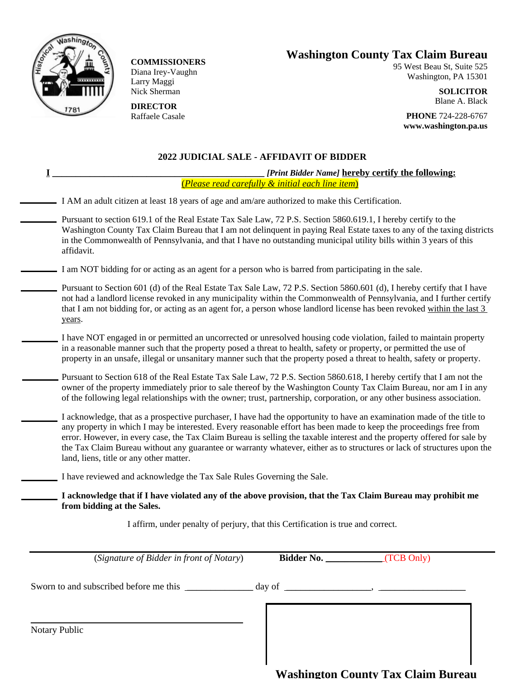

**COMMISSIONERS** Diana Irey-Vaughn Larry Maggi Nick Sherman

**DIRECTOR** Raffaele Casale

# **Washington County Tax Claim Bureau**

95 West Beau St, Suite 525 Washington, PA 15301

> **SOLICITOR** Blane A. Black

**PHONE** 724-228-6767 **www.washington.pa.us**

#### **2022 JUDICIAL SALE - AFFIDAVIT OF BIDDER**

| [Print Bidder Name] hereby certify the following:<br>(Please read carefully & initial each line item)                                                                                                                                                                                                                                                                                                                                                                                                                                          |  |  |  |
|------------------------------------------------------------------------------------------------------------------------------------------------------------------------------------------------------------------------------------------------------------------------------------------------------------------------------------------------------------------------------------------------------------------------------------------------------------------------------------------------------------------------------------------------|--|--|--|
| I AM an adult citizen at least 18 years of age and am/are authorized to make this Certification.                                                                                                                                                                                                                                                                                                                                                                                                                                               |  |  |  |
| Pursuant to section 619.1 of the Real Estate Tax Sale Law, 72 P.S. Section 5860.619.1, I hereby certify to the<br>Washington County Tax Claim Bureau that I am not delinquent in paying Real Estate taxes to any of the taxing districts<br>in the Commonwealth of Pennsylvania, and that I have no outstanding municipal utility bills within 3 years of this<br>affidavit.                                                                                                                                                                   |  |  |  |
| I am NOT bidding for or acting as an agent for a person who is barred from participating in the sale.                                                                                                                                                                                                                                                                                                                                                                                                                                          |  |  |  |
| Pursuant to Section 601 (d) of the Real Estate Tax Sale Law, 72 P.S. Section 5860.601 (d), I hereby certify that I have<br>not had a landlord license revoked in any municipality within the Commonwealth of Pennsylvania, and I further certify<br>that I am not bidding for, or acting as an agent for, a person whose landlord license has been revoked within the last 3<br>years.                                                                                                                                                         |  |  |  |
| I have NOT engaged in or permitted an uncorrected or unresolved housing code violation, failed to maintain property<br>in a reasonable manner such that the property posed a threat to health, safety or property, or permitted the use of<br>property in an unsafe, illegal or unsanitary manner such that the property posed a threat to health, safety or property.                                                                                                                                                                         |  |  |  |
| Pursuant to Section 618 of the Real Estate Tax Sale Law, 72 P.S. Section 5860.618, I hereby certify that I am not the<br>owner of the property immediately prior to sale thereof by the Washington County Tax Claim Bureau, nor am I in any<br>of the following legal relationships with the owner; trust, partnership, corporation, or any other business association.                                                                                                                                                                        |  |  |  |
| I acknowledge, that as a prospective purchaser, I have had the opportunity to have an examination made of the title to<br>any property in which I may be interested. Every reasonable effort has been made to keep the proceedings free from<br>error. However, in every case, the Tax Claim Bureau is selling the taxable interest and the property offered for sale by<br>the Tax Claim Bureau without any guarantee or warranty whatever, either as to structures or lack of structures upon the<br>land, liens, title or any other matter. |  |  |  |
| I have reviewed and acknowledge the Tax Sale Rules Governing the Sale.                                                                                                                                                                                                                                                                                                                                                                                                                                                                         |  |  |  |
| I acknowledge that if I have violated any of the above provision, that the Tax Claim Bureau may prohibit me<br>from bidding at the Sales.                                                                                                                                                                                                                                                                                                                                                                                                      |  |  |  |
| I affirm, under penalty of perjury, that this Certification is true and correct.                                                                                                                                                                                                                                                                                                                                                                                                                                                               |  |  |  |
| Bidder No. (TCB Only)<br>(Signature of Bidder in front of Notary)                                                                                                                                                                                                                                                                                                                                                                                                                                                                              |  |  |  |
|                                                                                                                                                                                                                                                                                                                                                                                                                                                                                                                                                |  |  |  |
| <b>Notary Public</b><br><b>Washington County Tax Claim Bureau</b>                                                                                                                                                                                                                                                                                                                                                                                                                                                                              |  |  |  |
|                                                                                                                                                                                                                                                                                                                                                                                                                                                                                                                                                |  |  |  |